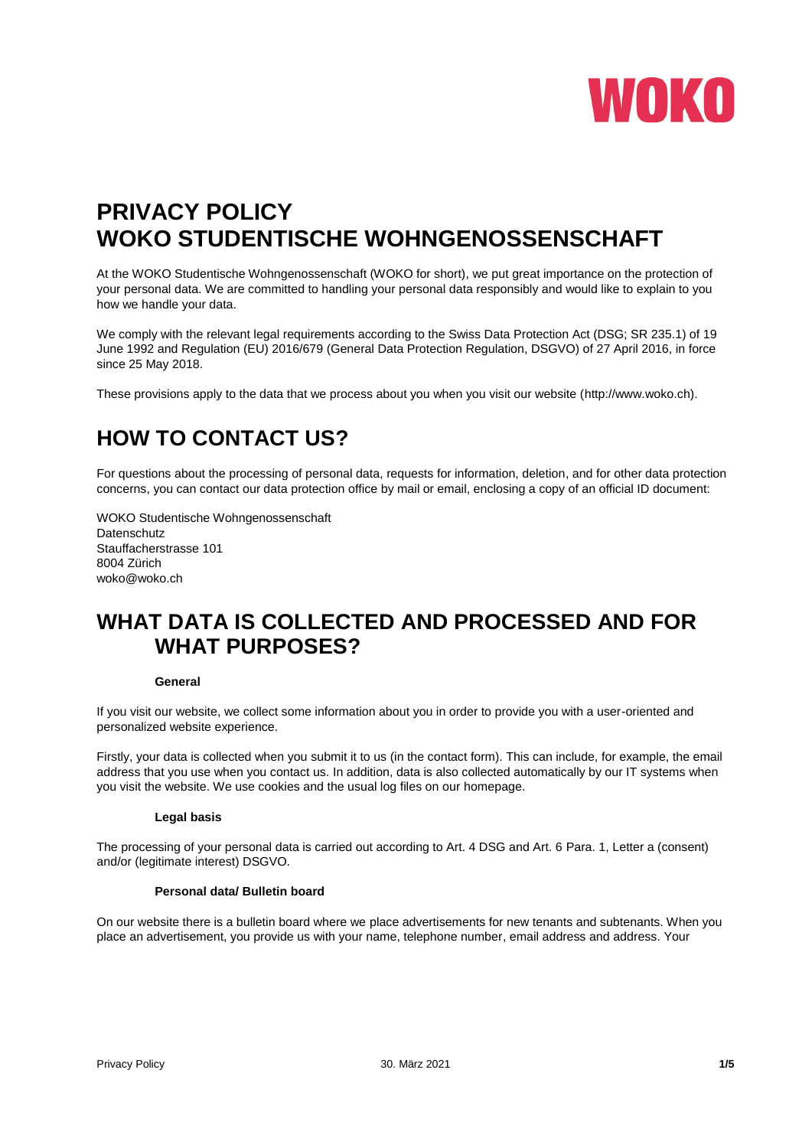

# **PRIVACY POLICY WOKO STUDENTISCHE WOHNGENOSSENSCHAFT**

At the WOKO Studentische Wohngenossenschaft (WOKO for short), we put great importance on the protection of your personal data. We are committed to handling your personal data responsibly and would like to explain to you how we handle your data.

We comply with the relevant legal requirements according to the Swiss Data Protection Act (DSG; SR 235.1) of 19 June 1992 and Regulation (EU) 2016/679 (General Data Protection Regulation, DSGVO) of 27 April 2016, in force since 25 May 2018.

These provisions apply to the data that we process about you when you visit our website (http://www.woko.ch).

## **HOW TO CONTACT US?**

For questions about the processing of personal data, requests for information, deletion, and for other data protection concerns, you can contact our data protection office by mail or email, enclosing a copy of an official ID document:

WOKO Studentische Wohngenossenschaft Datenschutz Stauffacherstrasse 101 8004 Zürich woko@woko.ch

### **WHAT DATA IS COLLECTED AND PROCESSED AND FOR WHAT PURPOSES?**

#### **General**

If you visit our website, we collect some information about you in order to provide you with a user-oriented and personalized website experience.

Firstly, your data is collected when you submit it to us (in the contact form). This can include, for example, the email address that you use when you contact us. In addition, data is also collected automatically by our IT systems when you visit the website. We use cookies and the usual log files on our homepage.

#### **Legal basis**

The processing of your personal data is carried out according to Art. 4 DSG and Art. 6 Para. 1, Letter a (consent) and/or (legitimate interest) DSGVO.

#### **Personal data/ Bulletin board**

On our website there is a bulletin board where we place advertisements for new tenants and subtenants. When you place an advertisement, you provide us with your name, telephone number, email address and address. Your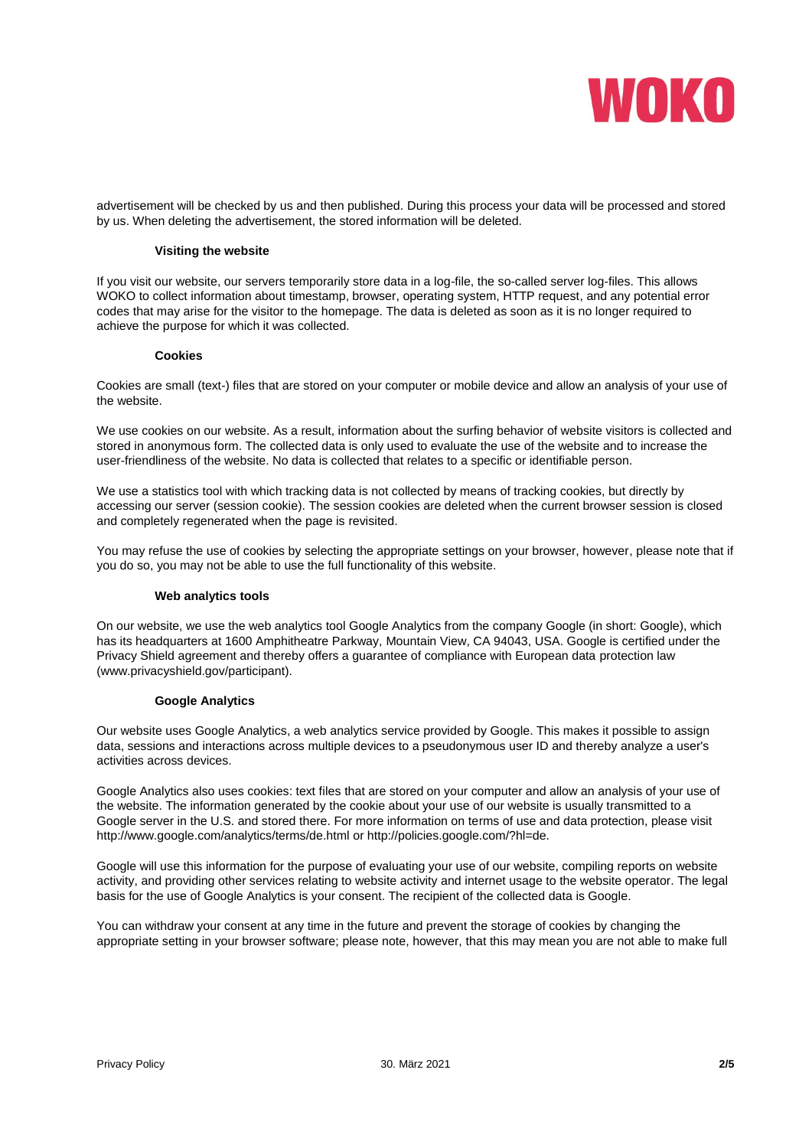

advertisement will be checked by us and then published. During this process your data will be processed and stored by us. When deleting the advertisement, the stored information will be deleted.

#### **Visiting the website**

If you visit our website, our servers temporarily store data in a log-file, the so-called server log-files. This allows WOKO to collect information about timestamp, browser, operating system, HTTP request, and any potential error codes that may arise for the visitor to the homepage. The data is deleted as soon as it is no longer required to achieve the purpose for which it was collected.

#### **Cookies**

Cookies are small (text-) files that are stored on your computer or mobile device and allow an analysis of your use of the website.

We use cookies on our website. As a result, information about the surfing behavior of website visitors is collected and stored in anonymous form. The collected data is only used to evaluate the use of the website and to increase the user-friendliness of the website. No data is collected that relates to a specific or identifiable person.

We use a statistics tool with which tracking data is not collected by means of tracking cookies, but directly by accessing our server (session cookie). The session cookies are deleted when the current browser session is closed and completely regenerated when the page is revisited.

You may refuse the use of cookies by selecting the appropriate settings on your browser, however, please note that if you do so, you may not be able to use the full functionality of this website.

#### **Web analytics tools**

On our website, we use the web analytics tool Google Analytics from the company Google (in short: Google), which has its headquarters at 1600 Amphitheatre Parkway, Mountain View, CA 94043, USA. Google is certified under the Privacy Shield agreement and thereby offers a guarantee of compliance with European data protection law (www.privacyshield.gov/participant).

#### **Google Analytics**

Our website uses Google Analytics, a web analytics service provided by Google. This makes it possible to assign data, sessions and interactions across multiple devices to a pseudonymous user ID and thereby analyze a user's activities across devices.

Google Analytics also uses cookies: text files that are stored on your computer and allow an analysis of your use of the website. The information generated by the cookie about your use of our website is usually transmitted to a Google server in the U.S. and stored there. For more information on terms of use and data protection, please visit http://www.google.com/analytics/terms/de.html or http://policies.google.com/?hl=de.

Google will use this information for the purpose of evaluating your use of our website, compiling reports on website activity, and providing other services relating to website activity and internet usage to the website operator. The legal basis for the use of Google Analytics is your consent. The recipient of the collected data is Google.

You can withdraw your consent at any time in the future and prevent the storage of cookies by changing the appropriate setting in your browser software; please note, however, that this may mean you are not able to make full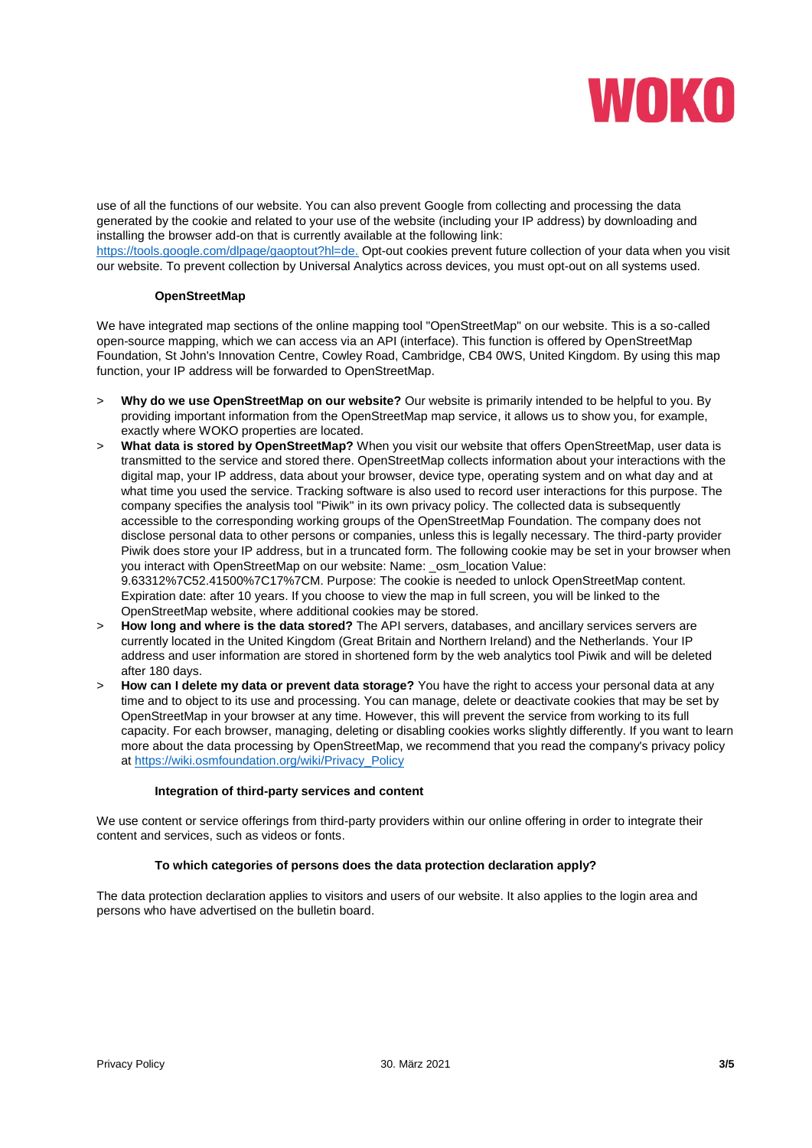

use of all the functions of our website. You can also prevent Google from collecting and processing the data generated by the cookie and related to your use of the website (including your IP address) by downloading and installing the browser add-on that is currently available at the following link:

[https://tools.google.com/dlpage/gaoptout?hl=de.](https://tools.google.com/dlpage/gaoptout?hl=de) Opt-out cookies prevent future collection of your data when you visit our website. To prevent collection by Universal Analytics across devices, you must opt-out on all systems used.

#### **OpenStreetMap**

We have integrated map sections of the online mapping tool "OpenStreetMap" on our website. This is a so-called open-source mapping, which we can access via an API (interface). This function is offered by OpenStreetMap Foundation, St John's Innovation Centre, Cowley Road, Cambridge, CB4 0WS, United Kingdom. By using this map function, your IP address will be forwarded to OpenStreetMap.

- > **Why do we use OpenStreetMap on our website?** Our website is primarily intended to be helpful to you. By providing important information from the OpenStreetMap map service, it allows us to show you, for example, exactly where WOKO properties are located.
- > **What data is stored by OpenStreetMap?** When you visit our website that offers OpenStreetMap, user data is transmitted to the service and stored there. OpenStreetMap collects information about your interactions with the digital map, your IP address, data about your browser, device type, operating system and on what day and at what time you used the service. Tracking software is also used to record user interactions for this purpose. The company specifies the analysis tool "Piwik" in its own privacy policy. The collected data is subsequently accessible to the corresponding working groups of the OpenStreetMap Foundation. The company does not disclose personal data to other persons or companies, unless this is legally necessary. The third-party provider Piwik does store your IP address, but in a truncated form. The following cookie may be set in your browser when you interact with OpenStreetMap on our website: Name: osm\_location Value: 9.63312%7C52.41500%7C17%7CM. Purpose: The cookie is needed to unlock OpenStreetMap content. Expiration date: after 10 years. If you choose to view the map in full screen, you will be linked to the OpenStreetMap website, where additional cookies may be stored.
- > **How long and where is the data stored?** The API servers, databases, and ancillary services servers are currently located in the United Kingdom (Great Britain and Northern Ireland) and the Netherlands. Your IP address and user information are stored in shortened form by the web analytics tool Piwik and will be deleted after 180 days.
- > **How can I delete my data or prevent data storage?** You have the right to access your personal data at any time and to object to its use and processing. You can manage, delete or deactivate cookies that may be set by OpenStreetMap in your browser at any time. However, this will prevent the service from working to its full capacity. For each browser, managing, deleting or disabling cookies works slightly differently. If you want to learn more about the data processing by OpenStreetMap, we recommend that you read the company's privacy policy at [https://wiki.osmfoundation.org/wiki/Privacy\\_Policy](https://wiki.osmfoundation.org/wiki/Privacy_Policy)

#### **Integration of third-party services and content**

We use content or service offerings from third-party providers within our online offering in order to integrate their content and services, such as videos or fonts.

#### **To which categories of persons does the data protection declaration apply?**

The data protection declaration applies to visitors and users of our website. It also applies to the login area and persons who have advertised on the bulletin board.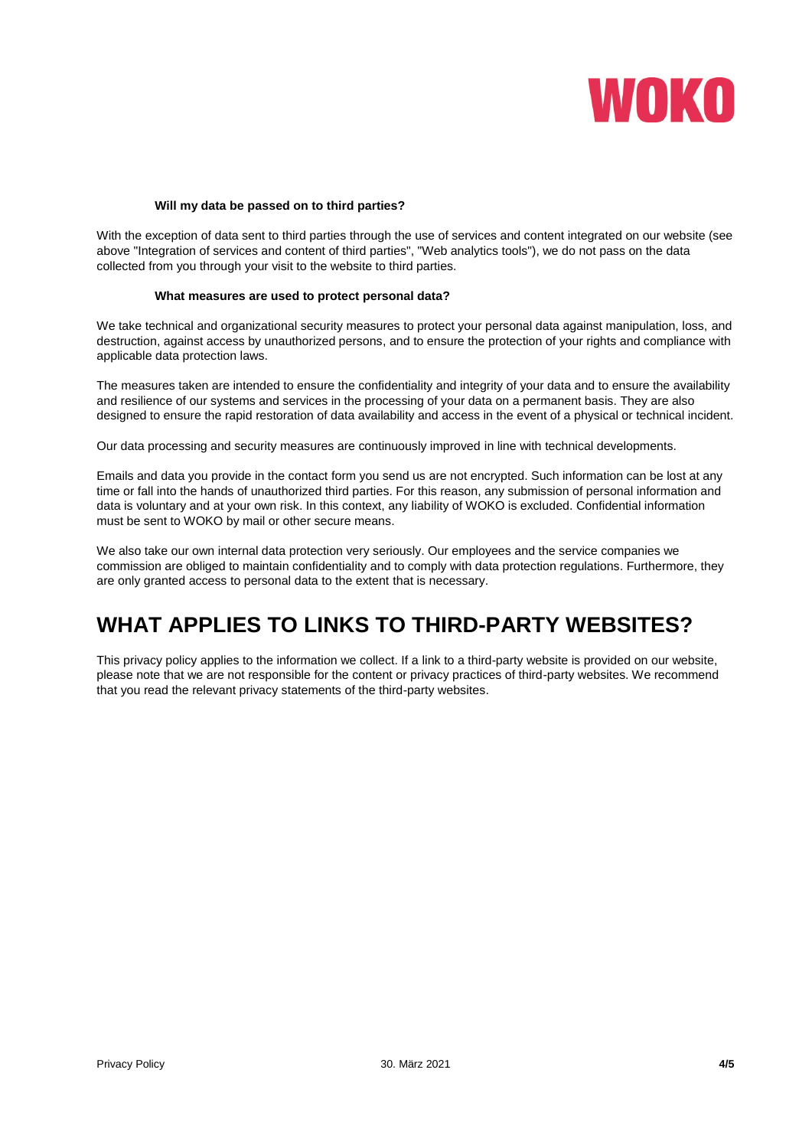

#### **Will my data be passed on to third parties?**

With the exception of data sent to third parties through the use of services and content integrated on our website (see above "Integration of services and content of third parties", "Web analytics tools"), we do not pass on the data collected from you through your visit to the website to third parties.

#### **What measures are used to protect personal data?**

We take technical and organizational security measures to protect your personal data against manipulation, loss, and destruction, against access by unauthorized persons, and to ensure the protection of your rights and compliance with applicable data protection laws.

The measures taken are intended to ensure the confidentiality and integrity of your data and to ensure the availability and resilience of our systems and services in the processing of your data on a permanent basis. They are also designed to ensure the rapid restoration of data availability and access in the event of a physical or technical incident.

Our data processing and security measures are continuously improved in line with technical developments.

Emails and data you provide in the contact form you send us are not encrypted. Such information can be lost at any time or fall into the hands of unauthorized third parties. For this reason, any submission of personal information and data is voluntary and at your own risk. In this context, any liability of WOKO is excluded. Confidential information must be sent to WOKO by mail or other secure means.

We also take our own internal data protection very seriously. Our employees and the service companies we commission are obliged to maintain confidentiality and to comply with data protection regulations. Furthermore, they are only granted access to personal data to the extent that is necessary.

### **WHAT APPLIES TO LINKS TO THIRD-PARTY WEBSITES?**

This privacy policy applies to the information we collect. If a link to a third-party website is provided on our website, please note that we are not responsible for the content or privacy practices of third-party websites. We recommend that you read the relevant privacy statements of the third-party websites.